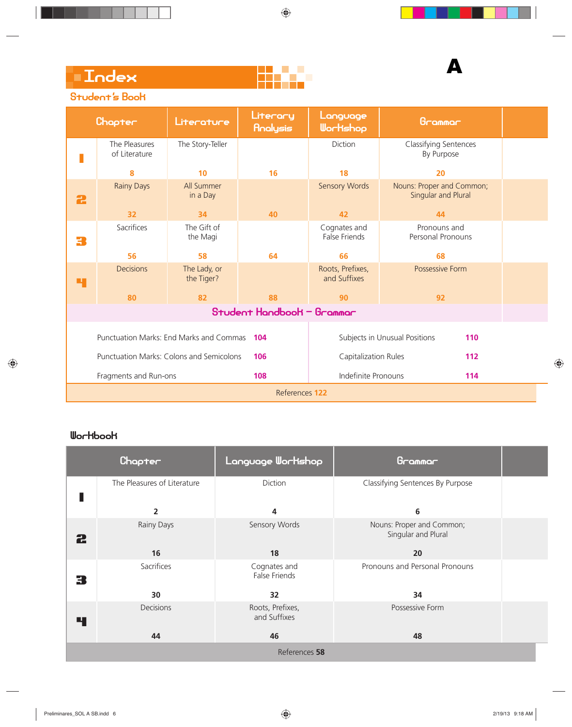

## Student's Book

|                 | Chapter                                  | Literature                 | Literary<br>Analysis                 | Language<br>Wortshop                 | Grammar                                          |  |
|-----------------|------------------------------------------|----------------------------|--------------------------------------|--------------------------------------|--------------------------------------------------|--|
| Г               | The Pleasures<br>of Literature           | The Story-Teller           |                                      | Diction                              | Classifying Sentences<br>By Purpose              |  |
|                 | 8                                        | 10                         | 16                                   | 18                                   | 20                                               |  |
| 2               | <b>Rainy Days</b>                        | All Summer<br>in a Day     |                                      | <b>Sensory Words</b>                 | Nouns: Proper and Common;<br>Singular and Plural |  |
|                 | 32                                       | 34                         | 40                                   | 42                                   | 44                                               |  |
| 3               | Sacrifices                               | The Gift of<br>the Magi    |                                      | Cognates and<br><b>False Friends</b> | Pronouns and<br>Personal Pronouns                |  |
|                 | 56                                       | 58                         | 64                                   | 66                                   | 68                                               |  |
| ч               | <b>Decisions</b>                         | The Lady, or<br>the Tiger? |                                      | Roots, Prefixes,<br>and Suffixes     | Possessive Form                                  |  |
|                 | 80                                       | 82                         | 88                                   | 90                                   | 92                                               |  |
|                 |                                          |                            | Student Handbook - Grammar           |                                      |                                                  |  |
|                 | Punctuation Marks: End Marks and Commas  |                            | 104                                  |                                      | Subjects in Unusual Positions<br>110             |  |
|                 | Punctuation Marks: Colons and Semicolons |                            | 106                                  | Capitalization Rules                 | 112                                              |  |
|                 | Fragments and Run-ons                    |                            | 108                                  | Indefinite Pronouns                  | 114                                              |  |
|                 |                                          |                            | References 122                       |                                      |                                                  |  |
|                 |                                          |                            |                                      |                                      |                                                  |  |
| <b>Workbook</b> |                                          |                            |                                      |                                      |                                                  |  |
|                 | Chapter                                  |                            | Language Wortshop                    |                                      | Grammar                                          |  |
| Г               | The Pleasures of Literature              |                            | Diction                              |                                      | Classifying Sentences By Purpose                 |  |
|                 | $\overline{2}$                           |                            | 4                                    |                                      | 6                                                |  |
| 2               | Rainy Days                               |                            | Sensory Words                        |                                      | Nouns: Proper and Common;<br>Singular and Plural |  |
|                 | 16                                       |                            | 18                                   |                                      | 20                                               |  |
| 3               | Sacrifices                               |                            | Cognates and<br><b>False Friends</b> |                                      | Pronouns and Personal Pronouns                   |  |
|                 | 30                                       |                            | 32                                   |                                      | 34                                               |  |
| 4               | Decisions                                |                            | Roots, Prefixes,<br>and Suffixes     |                                      | Possessive Form                                  |  |
|                 | 44                                       |                            | 46                                   |                                      | 48                                               |  |

|   | Chapter                     | Language Workshop                | Grammar                                          |  |
|---|-----------------------------|----------------------------------|--------------------------------------------------|--|
|   | The Pleasures of Literature | Diction                          | Classifying Sentences By Purpose                 |  |
|   | $\overline{2}$              | 4                                | 6                                                |  |
| 2 | Rainy Days                  | Sensory Words                    | Nouns: Proper and Common;<br>Singular and Plural |  |
|   | 16                          | 18                               | 20                                               |  |
| 3 | Sacrifices                  | Cognates and<br>False Friends    | Pronouns and Personal Pronouns                   |  |
|   | 30                          | 32                               | 34                                               |  |
| 4 | Decisions                   | Roots, Prefixes,<br>and Suffixes | Possessive Form                                  |  |
|   | 44                          | 46                               | 48                                               |  |
|   |                             | References 58                    |                                                  |  |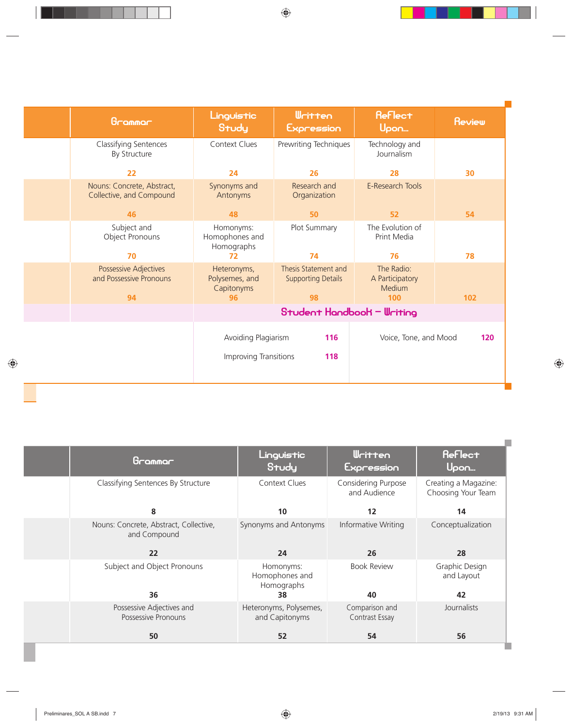| Grammar                                                | Linguistic<br>Study                                        | <b>Written</b><br>Expression                            | <b>Reflect</b><br>Upon                         | <b>Review</b> |
|--------------------------------------------------------|------------------------------------------------------------|---------------------------------------------------------|------------------------------------------------|---------------|
| Classifying Sentences<br>By Structure                  | <b>Context Clues</b>                                       | Prewriting Techniques                                   | Technology and<br>Journalism                   |               |
| 22                                                     | 24                                                         | 26                                                      | 28                                             | 30            |
| Nouns: Concrete, Abstract,<br>Collective, and Compound | Synonyms and<br>Antonyms                                   | Research and<br>Organization                            | E-Research Tools                               |               |
| 46                                                     | 48                                                         | 50                                                      | 52                                             | 54            |
| Subject and<br>Object Pronouns                         | Homonyms:<br>Homophones and<br>Homographs                  | Plot Summary                                            | The Evolution of<br>Print Media                |               |
| 70                                                     | 72                                                         | 74                                                      | 76                                             | 78            |
| Possessive Adjectives<br>and Possessive Pronouns<br>94 | Heteronyms,<br>Polysemes, and<br>Capitonyms<br>96          | Thesis Statement and<br><b>Supporting Details</b><br>98 | The Radio:<br>A Participatory<br>Medium<br>100 | 102           |
|                                                        |                                                            | Student Handbook - Writing                              |                                                |               |
|                                                        | Avoiding Plagiarism<br>116<br>Improving Transitions<br>118 |                                                         | Voice, Tone, and Mood                          | 120           |

**COL** 

 $\mathcal{L}_{\mathcal{A}}$ 

| Grammar                                                | Linguistic<br>Study                       | <b>Written</b><br>Expression        | <b>Reflect</b><br>Upon                     |
|--------------------------------------------------------|-------------------------------------------|-------------------------------------|--------------------------------------------|
| Classifying Sentences By Structure                     | <b>Context Clues</b>                      | Considering Purpose<br>and Audience | Creating a Magazine:<br>Choosing Your Team |
| 8                                                      | 10                                        | 12                                  | 14                                         |
| Nouns: Concrete, Abstract, Collective,<br>and Compound | Synonyms and Antonyms                     | Informative Writing                 | Conceptualization                          |
| 22                                                     | 24                                        | 26                                  | 28                                         |
| Subject and Object Pronouns                            | Homonyms:<br>Homophones and<br>Homographs | <b>Book Review</b>                  | Graphic Design<br>and Layout               |
| 36                                                     | 38                                        | 40                                  | 42                                         |
| Possessive Adjectives and<br>Possessive Pronouns       | Heteronyms, Polysemes,<br>and Capitonyms  | Comparison and<br>Contrast Essay    | Journalists                                |
| 50                                                     | 52                                        | 54                                  | 56                                         |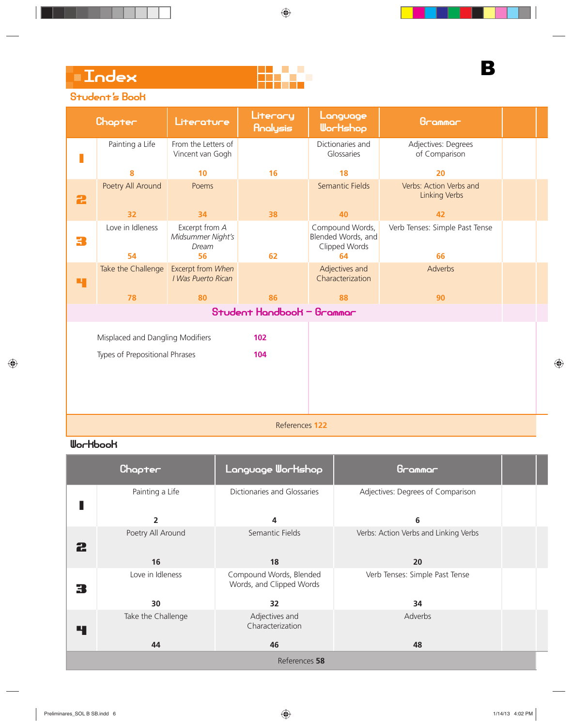### Student's Book

|   | Chapter                          | Literature                                   | Literary<br>Analysis       | Language<br>Wortshop                                   | Grammar                                         |  |
|---|----------------------------------|----------------------------------------------|----------------------------|--------------------------------------------------------|-------------------------------------------------|--|
|   | Painting a Life                  | From the Letters of<br>Vincent van Gogh      |                            | Dictionaries and<br>Glossaries                         | Adjectives: Degrees<br>of Comparison            |  |
|   | 8                                | 10                                           | 16                         | 18                                                     | 20                                              |  |
| 2 | Poetry All Around                | Poems                                        |                            | Semantic Fields                                        | Verbs: Action Verbs and<br><b>Linking Verbs</b> |  |
|   | 32                               | 34                                           | 38                         | 40                                                     | 42                                              |  |
| 3 | Love in Idleness                 | Excerpt from A<br>Midsummer Night's<br>Dream |                            | Compound Words,<br>Blended Words, and<br>Clipped Words | Verb Tenses: Simple Past Tense                  |  |
|   | 54                               | 56                                           | 62                         | 64                                                     | 66                                              |  |
| Ч | Take the Challenge               | Excerpt from When<br>I Was Puerto Rican      |                            | Adjectives and<br>Characterization                     | Adverbs                                         |  |
|   | 78                               | 80                                           | 86                         | 88                                                     | 90                                              |  |
|   |                                  |                                              | Student Handbook - Grammar |                                                        |                                                 |  |
|   | Misplaced and Dangling Modifiers |                                              | 102                        |                                                        |                                                 |  |
|   | Types of Prepositional Phrases   |                                              | 104                        |                                                        |                                                 |  |
|   |                                  |                                              |                            |                                                        |                                                 |  |

References **122**

|   | Chapter            | Language Workshop                                   | Grammar                               |  |
|---|--------------------|-----------------------------------------------------|---------------------------------------|--|
|   | Painting a Life    | Dictionaries and Glossaries                         | Adjectives: Degrees of Comparison     |  |
|   | 2                  | 4                                                   | 6                                     |  |
| 2 | Poetry All Around  | Semantic Fields                                     | Verbs: Action Verbs and Linking Verbs |  |
|   | 16                 | 18                                                  | 20                                    |  |
| 3 | Love in Idleness   | Compound Words, Blended<br>Words, and Clipped Words | Verb Tenses: Simple Past Tense        |  |
|   | 30                 | 32                                                  | 34                                    |  |
| ч | Take the Challenge | Adjectives and<br>Characterization                  | Adverbs                               |  |
|   | 44                 | 46                                                  | 48                                    |  |
|   |                    | References 58                                       |                                       |  |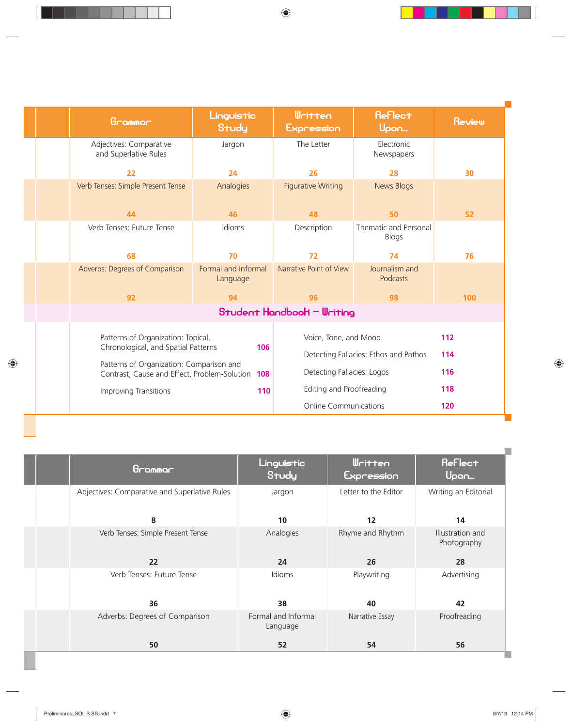| Grammar                                                                                         | Linguistic<br>Study             | <b>Written</b><br>Expression | <b>Reflect</b><br>Upon                | <b>Review</b> |
|-------------------------------------------------------------------------------------------------|---------------------------------|------------------------------|---------------------------------------|---------------|
| Adjectives: Comparative<br>and Superlative Rules                                                | Jargon                          | The Letter                   | Electronic<br>Newspapers              |               |
| 22                                                                                              | 24                              | 26                           | 28                                    | 30            |
| Verb Tenses: Simple Present Tense                                                               | Analogies                       | <b>Figurative Writing</b>    | <b>News Blogs</b>                     |               |
| 44                                                                                              | 46                              | 48                           | 50                                    | 52            |
| Verb Tenses: Future Tense                                                                       | Idioms                          | Description                  | Thematic and Personal<br>Blogs        |               |
| 68                                                                                              | 70                              | 72                           | 74                                    | 76            |
| Adverbs: Degrees of Comparison                                                                  | Formal and Informal<br>Language | Narrative Point of View      | Journalism and<br>Podcasts            |               |
| 92                                                                                              | 94                              | 96                           | 98                                    | 100           |
|                                                                                                 |                                 | Student Handbook — Writing   |                                       |               |
| Patterns of Organization: Topical,<br>Chronological, and Spatial Patterns                       | 106                             | Voice, Tone, and Mood        |                                       | 112           |
|                                                                                                 |                                 |                              | Detecting Fallacies: Ethos and Pathos | 114           |
| Patterns of Organization: Comparison and<br>Contrast, Cause and Effect, Problem-Solution<br>108 |                                 | Detecting Fallacies: Logos   |                                       | 116           |
| Improving Transitions                                                                           | 110                             | Editing and Proofreading     |                                       | 118           |
|                                                                                                 |                                 | <b>Online Communications</b> |                                       | 120           |

**COL** 

| Grammar                                       | Linguistic<br>Study             | <b>Written</b><br>Expression | Reflect<br>Upon                 |
|-----------------------------------------------|---------------------------------|------------------------------|---------------------------------|
| Adjectives: Comparative and Superlative Rules | Jargon                          | Letter to the Editor         | Writing an Editorial            |
| 8                                             | 10                              | 12                           | 14                              |
| Verb Tenses: Simple Present Tense             | Analogies                       | Rhyme and Rhythm             | Illustration and<br>Photography |
| 22                                            | 24                              | 26                           | 28                              |
| Verb Tenses: Future Tense                     | <b>Idioms</b>                   | Playwriting                  | Advertising                     |
| 36                                            | 38                              | 40                           | 42                              |
| Adverbs: Degrees of Comparison                | Formal and Informal<br>Language | Narrative Essay              | Proofreading                    |
| 50                                            | 52                              | 54                           | 56                              |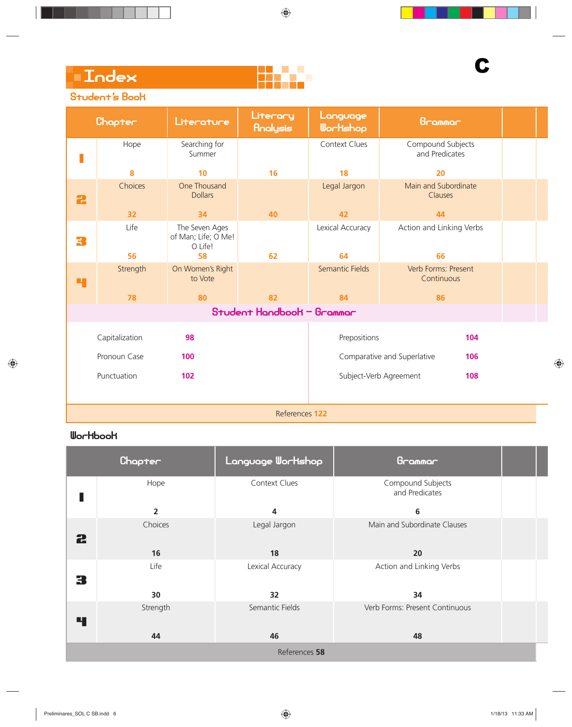## Student's Book

|   | Chapter        | Literature                                       | Literary<br>Analysis       | Language<br>Wortshop   | Grammar                             |  |
|---|----------------|--------------------------------------------------|----------------------------|------------------------|-------------------------------------|--|
|   | Hope           | Searching for<br>Summer                          |                            | <b>Context Clues</b>   | Compound Subjects<br>and Predicates |  |
|   | 8              | 10                                               | 16                         | 18                     | 20                                  |  |
| 2 | Choices        | One Thousand<br><b>Dollars</b>                   |                            | Legal Jargon           | Main and Subordinate<br>Clauses     |  |
|   | 32             | 34                                               | 40                         | 42                     | 44                                  |  |
| 3 | Life           | The Seven Ages<br>of Man; Life; O Me!<br>O Life! |                            | Lexical Accuracy       | Action and Linking Verbs            |  |
|   | 56             | 58                                               | 62                         | 64                     | 66                                  |  |
| Ч | Strength       | On Women's Right<br>to Vote                      |                            | <b>Semantic Fields</b> | Verb Forms: Present<br>Continuous   |  |
|   | 78             | 80                                               | 82                         | 84                     | 86                                  |  |
|   |                |                                                  | Student Handbook - Grammar |                        |                                     |  |
|   | Capitalization | 98                                               |                            | Prepositions           | 104                                 |  |
|   | Pronoun Case   | 100                                              |                            |                        | Comparative and Superlative<br>106  |  |
|   | Punctuation    | 102                                              |                            |                        | Subject-Verb Agreement<br>108       |  |
|   |                |                                                  |                            |                        |                                     |  |

References **122**

|   | Chapter        | Language Workshop | Grammar                             |  |
|---|----------------|-------------------|-------------------------------------|--|
|   | Hope           | Context Clues     | Compound Subjects<br>and Predicates |  |
|   | $\overline{2}$ | 4                 | 6                                   |  |
| 2 | Choices        | Legal Jargon      | Main and Subordinate Clauses        |  |
|   | 16             | 18                | 20                                  |  |
| З | Life           | Lexical Accuracy  | Action and Linking Verbs            |  |
|   | 30             | 32                | 34                                  |  |
| Ч | Strength       | Semantic Fields   | Verb Forms: Present Continuous      |  |
|   | 44             | 46                | 48                                  |  |
|   |                | References 58     |                                     |  |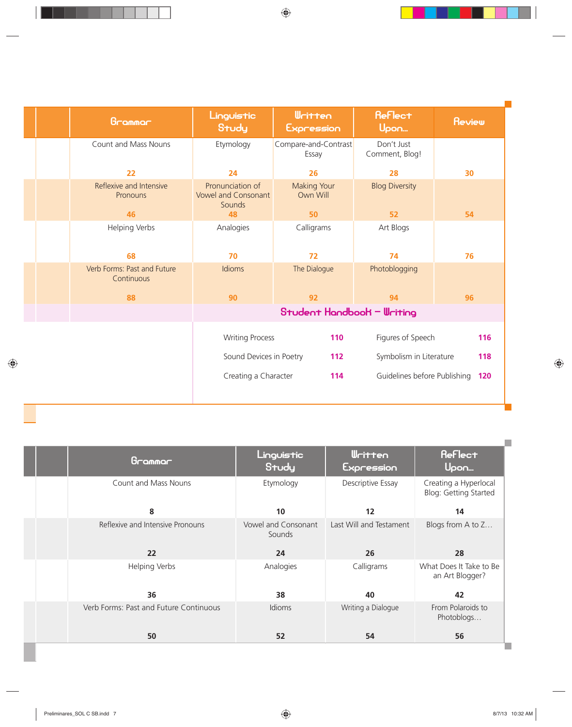| Grammar                                    | Linguistic<br>Study                                      | <b>Written</b><br>Expression   | <b>Reflect</b><br>Upon       | <b>Review</b> |
|--------------------------------------------|----------------------------------------------------------|--------------------------------|------------------------------|---------------|
| Count and Mass Nouns                       | Etymology                                                | Compare-and-Contrast<br>Essay  | Don't Just<br>Comment, Blog! |               |
| 22                                         | 24                                                       | 26                             | 28                           | 30            |
| Reflexive and Intensive<br><b>Pronouns</b> | Pronunciation of<br><b>Vowel and Consonant</b><br>Sounds | <b>Making Your</b><br>Own Will | <b>Blog Diversity</b>        |               |
| 46                                         | 48                                                       | 50                             | 52                           | 54            |
| Helping Verbs                              | Analogies                                                | Calligrams                     | Art Blogs                    |               |
| 68                                         | 70                                                       | 72                             | 74                           | 76            |
| Verb Forms: Past and Future<br>Continuous  | Idioms                                                   | The Dialogue                   | Photoblogging                |               |
| 88                                         | 90                                                       | 92                             | 94                           | 96            |
|                                            |                                                          | Student Handbook - Writing     |                              |               |
|                                            | <b>Writing Process</b>                                   | 110                            | Figures of Speech            | 116           |
|                                            | Sound Devices in Poetry                                  | 112                            | Symbolism in Literature      | 118           |
|                                            | Creating a Character                                     | 114                            | Guidelines before Publishing | 120           |

 $\mathcal{L}$ 

| <b>Reflect</b><br><b>Written</b><br>Linguistic<br>Grammar<br>Study<br>Upon<br>Expression<br><b>Count and Mass Nouns</b><br>Descriptive Essay<br>Etymology<br>8<br>10<br>12<br>14<br>Reflexive and Intensive Pronouns<br>Last Will and Testament<br>Blogs from A to Z<br>Vowel and Consonant<br>Sounds<br>22<br>24<br>26<br>28<br>Calligrams<br><b>Helping Verbs</b><br>Analogies<br>an Art Blogger?<br>36<br>42<br>38<br>40<br>Verb Forms: Past and Future Continuous<br>From Polaroids to<br>Writing a Dialogue<br><b>Idioms</b><br>Photoblogs |  |  |                                                |
|-------------------------------------------------------------------------------------------------------------------------------------------------------------------------------------------------------------------------------------------------------------------------------------------------------------------------------------------------------------------------------------------------------------------------------------------------------------------------------------------------------------------------------------------------|--|--|------------------------------------------------|
|                                                                                                                                                                                                                                                                                                                                                                                                                                                                                                                                                 |  |  |                                                |
|                                                                                                                                                                                                                                                                                                                                                                                                                                                                                                                                                 |  |  | Creating a Hyperlocal<br>Blog: Getting Started |
|                                                                                                                                                                                                                                                                                                                                                                                                                                                                                                                                                 |  |  |                                                |
|                                                                                                                                                                                                                                                                                                                                                                                                                                                                                                                                                 |  |  |                                                |
|                                                                                                                                                                                                                                                                                                                                                                                                                                                                                                                                                 |  |  |                                                |
|                                                                                                                                                                                                                                                                                                                                                                                                                                                                                                                                                 |  |  | What Does It Take to Be                        |
|                                                                                                                                                                                                                                                                                                                                                                                                                                                                                                                                                 |  |  |                                                |
|                                                                                                                                                                                                                                                                                                                                                                                                                                                                                                                                                 |  |  |                                                |
| 50<br>52<br>54<br>56                                                                                                                                                                                                                                                                                                                                                                                                                                                                                                                            |  |  |                                                |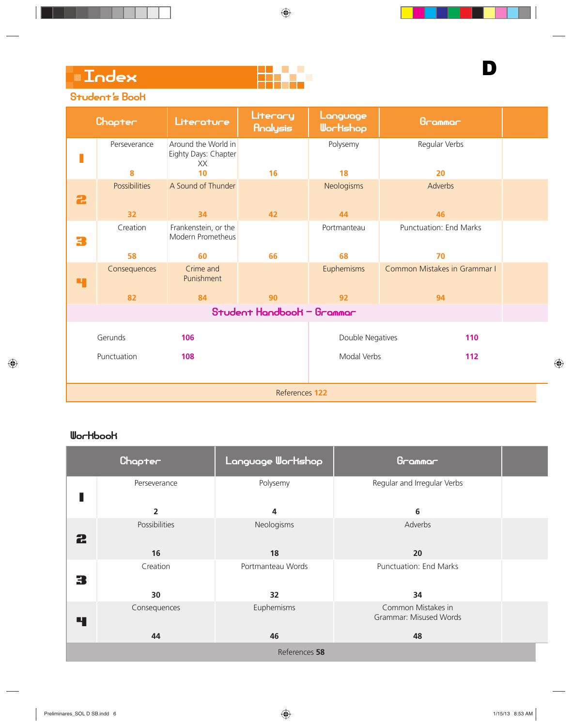D

### Student's Book

|                                                                                                            | Chapter                                   | Literature                                              | Literary<br>Analysis | Language<br>Wortshop | Grammar             |  |  |  |
|------------------------------------------------------------------------------------------------------------|-------------------------------------------|---------------------------------------------------------|----------------------|----------------------|---------------------|--|--|--|
|                                                                                                            | Perseverance<br>8                         | Around the World in<br>Eighty Days: Chapter<br>XX<br>10 | 16                   | Polysemy<br>18       | Regular Verbs<br>20 |  |  |  |
|                                                                                                            | <b>Possibilities</b>                      | A Sound of Thunder                                      |                      | Neologisms           | Adverbs             |  |  |  |
| 2                                                                                                          |                                           |                                                         |                      |                      |                     |  |  |  |
| 34<br>44<br>46<br>32<br>42                                                                                 |                                           |                                                         |                      |                      |                     |  |  |  |
| <b>Punctuation: End Marks</b><br>Creation<br>Frankenstein, or the<br>Portmanteau<br>Modern Prometheus<br>3 |                                           |                                                         |                      |                      |                     |  |  |  |
|                                                                                                            | 58                                        | 60                                                      | 66                   | 68                   | 70                  |  |  |  |
| Crime and<br>Euphemisms<br>Common Mistakes in Grammar I<br>Consequences<br>Punishment<br>Ч                 |                                           |                                                         |                      |                      |                     |  |  |  |
| 82<br>84<br>92<br>94<br>90                                                                                 |                                           |                                                         |                      |                      |                     |  |  |  |
|                                                                                                            | Student Handbook - Grammar                |                                                         |                      |                      |                     |  |  |  |
|                                                                                                            | Gerunds<br>Double Negatives<br>106<br>110 |                                                         |                      |                      |                     |  |  |  |
|                                                                                                            |                                           |                                                         |                      |                      |                     |  |  |  |
|                                                                                                            | Punctuation                               | 108                                                     |                      | Modal Verbs          | 112                 |  |  |  |
|                                                                                                            |                                           |                                                         |                      |                      |                     |  |  |  |
|                                                                                                            | References 122                            |                                                         |                      |                      |                     |  |  |  |

|                                                                                 | Language Workshop<br>Chapter<br>Grammar                 |          |                             |  |  |  |  |  |
|---------------------------------------------------------------------------------|---------------------------------------------------------|----------|-----------------------------|--|--|--|--|--|
|                                                                                 | Perseverance                                            | Polysemy | Regular and Irregular Verbs |  |  |  |  |  |
|                                                                                 | $\overline{2}$                                          | 4        | 6                           |  |  |  |  |  |
| Possibilities<br>Neologisms<br>Adverbs<br>2                                     |                                                         |          |                             |  |  |  |  |  |
| 18<br>16<br>20                                                                  |                                                         |          |                             |  |  |  |  |  |
| 3                                                                               | Punctuation: End Marks<br>Creation<br>Portmanteau Words |          |                             |  |  |  |  |  |
| 32<br>34<br>30                                                                  |                                                         |          |                             |  |  |  |  |  |
| Euphemisms<br>Common Mistakes in<br>Consequences<br>Grammar: Misused Words<br>4 |                                                         |          |                             |  |  |  |  |  |
|                                                                                 | 46<br>44<br>48                                          |          |                             |  |  |  |  |  |
|                                                                                 | References 58                                           |          |                             |  |  |  |  |  |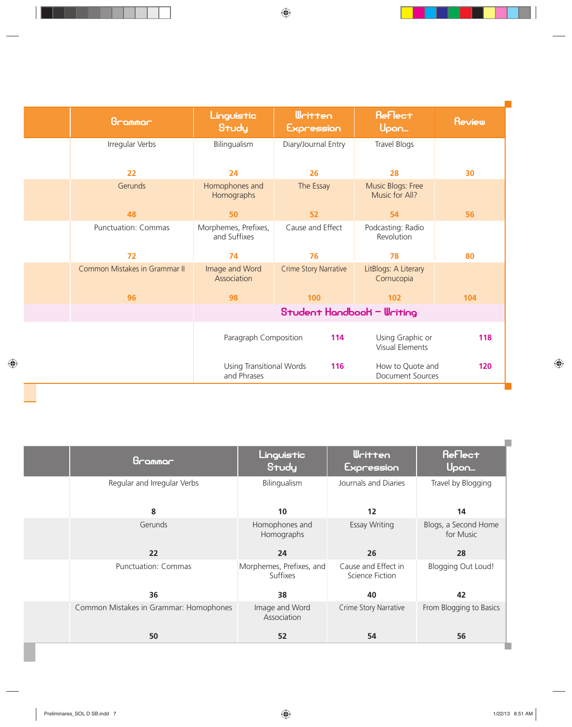| Grammar                       | <b>Written</b><br>Linguistic<br>Study<br>Expression           |                            | <b>Reflect</b><br>Upon                      | <b>Review</b> |
|-------------------------------|---------------------------------------------------------------|----------------------------|---------------------------------------------|---------------|
| Irregular Verbs               | Bilingualism<br>Diary/Journal Entry                           |                            | Travel Blogs                                |               |
| 22                            | 26<br>24                                                      |                            | 28                                          | 30            |
| Gerunds                       | Homophones and<br>The Essay<br>Homographs                     |                            | Music Blogs: Free<br>Music for All?         |               |
| 48                            | 50<br>52                                                      |                            | 54                                          | 56            |
| <b>Punctuation: Commas</b>    | Cause and Effect<br>Morphemes, Prefixes,<br>and Suffixes      |                            | Podcasting: Radio<br>Revolution             |               |
| 72                            | 74<br>76                                                      |                            | 78                                          | 80            |
| Common Mistakes in Grammar II | Image and Word<br><b>Crime Story Narrative</b><br>Association |                            | LitBlogs: A Literary<br>Cornucopia          |               |
| 96                            | 100<br>98                                                     |                            | 102                                         | 104           |
|                               |                                                               | Student Handbook - Writing |                                             |               |
|                               | Paragraph Composition<br>114                                  |                            | Using Graphic or<br><b>Visual Elements</b>  | 118           |
|                               | <b>Using Transitional Words</b><br>and Phrases                | 116                        | How to Quote and<br><b>Document Sources</b> | 120           |

| <b>Reflect</b><br><b>Written</b><br>Linguistic<br>Grammar<br>Study<br>Upon<br>Expression<br>Journals and Diaries<br>Regular and Irregular Verbs<br>Bilingualism<br>8<br>12<br>10<br>14<br>Gerunds<br>Homophones and<br><b>Essay Writing</b><br>Homographs<br>for Music<br>22<br>24<br>26<br>28<br><b>Punctuation: Commas</b><br>Morphemes, Prefixes, and<br>Cause and Effect in<br>Suffixes<br>Science Fiction<br>36<br>42<br>38<br>40<br>Common Mistakes in Grammar: Homophones<br>Image and Word<br>Crime Story Narrative |  |             |                           |
|-----------------------------------------------------------------------------------------------------------------------------------------------------------------------------------------------------------------------------------------------------------------------------------------------------------------------------------------------------------------------------------------------------------------------------------------------------------------------------------------------------------------------------|--|-------------|---------------------------|
|                                                                                                                                                                                                                                                                                                                                                                                                                                                                                                                             |  |             |                           |
|                                                                                                                                                                                                                                                                                                                                                                                                                                                                                                                             |  |             | Travel by Blogging        |
|                                                                                                                                                                                                                                                                                                                                                                                                                                                                                                                             |  |             |                           |
|                                                                                                                                                                                                                                                                                                                                                                                                                                                                                                                             |  |             | Blogs, a Second Home      |
|                                                                                                                                                                                                                                                                                                                                                                                                                                                                                                                             |  |             |                           |
|                                                                                                                                                                                                                                                                                                                                                                                                                                                                                                                             |  |             | <b>Blogging Out Loud!</b> |
|                                                                                                                                                                                                                                                                                                                                                                                                                                                                                                                             |  |             |                           |
|                                                                                                                                                                                                                                                                                                                                                                                                                                                                                                                             |  | Association | From Blogging to Basics   |
| 50<br>52<br>54<br>56                                                                                                                                                                                                                                                                                                                                                                                                                                                                                                        |  |             |                           |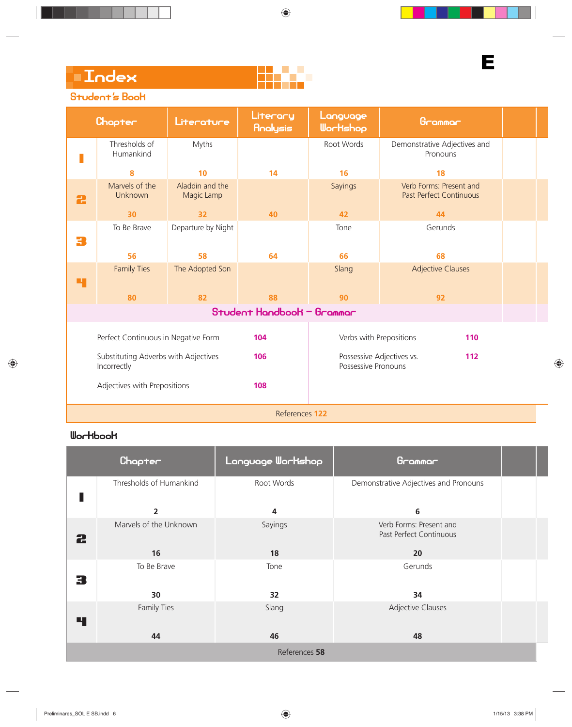## Student's Book

|   | Chapter                                                    | Literature         | Literary<br>Analysis       | Language<br>Wortshop    | Grammar                                                   |  |
|---|------------------------------------------------------------|--------------------|----------------------------|-------------------------|-----------------------------------------------------------|--|
|   | Thresholds of<br>Humankind                                 | Myths              |                            | Root Words              | Demonstrative Adjectives and<br>Pronouns                  |  |
|   | 10<br>8                                                    |                    | 14                         | 16                      | 18                                                        |  |
| 2 | Marvels of the<br>Aladdin and the<br>Unknown<br>Magic Lamp |                    |                            | Sayings                 | Verb Forms: Present and<br><b>Past Perfect Continuous</b> |  |
|   | 30                                                         | 32                 | 40                         | 42                      | 44                                                        |  |
| 3 | To Be Brave                                                | Departure by Night |                            | Tone                    | Gerunds                                                   |  |
|   | 56                                                         | 58                 | 64                         | 66                      | 68                                                        |  |
| 4 | <b>Family Ties</b>                                         | The Adopted Son    |                            | Slang                   | <b>Adjective Clauses</b>                                  |  |
|   | 80                                                         | 82                 | 88                         | 90                      | 92                                                        |  |
|   |                                                            |                    | Student Handbook - Grammar |                         |                                                           |  |
|   | Perfect Continuous in Negative Form                        |                    | 104                        | Verbs with Prepositions | 110                                                       |  |
|   | Substituting Adverbs with Adjectives<br>Incorrectly        |                    | 106                        | Possessive Pronouns     | Possessive Adjectives vs.<br>112                          |  |
|   | Adjectives with Prepositions                               |                    | 108                        |                         |                                                           |  |

References **122**

|                                                                                              | Chapter<br>Language Workshop<br>Grammar                 |            |                                       |  |  |  |  |  |  |
|----------------------------------------------------------------------------------------------|---------------------------------------------------------|------------|---------------------------------------|--|--|--|--|--|--|
|                                                                                              | Thresholds of Humankind                                 | Root Words | Demonstrative Adjectives and Pronouns |  |  |  |  |  |  |
| $\overline{\mathbf{2}}$<br>6<br>4                                                            |                                                         |            |                                       |  |  |  |  |  |  |
| Marvels of the Unknown<br>Verb Forms: Present and<br>Sayings<br>Past Perfect Continuous<br>2 |                                                         |            |                                       |  |  |  |  |  |  |
|                                                                                              | 16                                                      | 18         | 20                                    |  |  |  |  |  |  |
| З                                                                                            | To Be Brave<br>Gerunds<br>Tone                          |            |                                       |  |  |  |  |  |  |
| 30<br>32<br>34                                                                               |                                                         |            |                                       |  |  |  |  |  |  |
| 4                                                                                            | <b>Adjective Clauses</b><br><b>Family Ties</b><br>Slang |            |                                       |  |  |  |  |  |  |
|                                                                                              | 44<br>46<br>48                                          |            |                                       |  |  |  |  |  |  |
|                                                                                              | References 58                                           |            |                                       |  |  |  |  |  |  |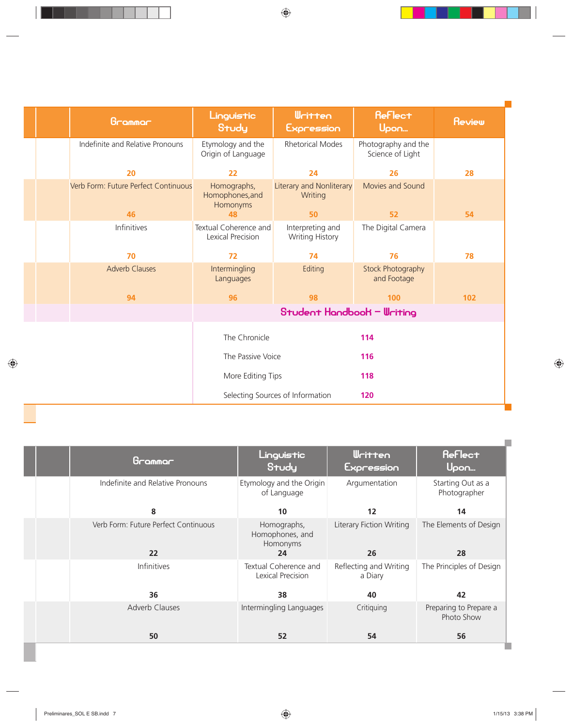| Grammar                              | <b>Written</b><br>Linguistic<br>Study<br>Expression                                      |                                  | <b>Reflect</b><br>Upon                  | Review |
|--------------------------------------|------------------------------------------------------------------------------------------|----------------------------------|-----------------------------------------|--------|
| Indefinite and Relative Pronouns     | <b>Rhetorical Modes</b><br>Etymology and the<br>Origin of Language                       |                                  | Photography and the<br>Science of Light |        |
| 20                                   | 22<br>24                                                                                 |                                  | 26                                      | 28     |
| Verb Form: Future Perfect Continuous | <b>Literary and Nonliterary</b><br>Homographs,<br>Homophones, and<br>Writing<br>Homonyms |                                  | Movies and Sound                        |        |
| 46                                   | 50<br>48                                                                                 |                                  | 52                                      | 54     |
| Infinitives                          | Textual Coherence and<br>Interpreting and<br>Lexical Precision<br><b>Writing History</b> |                                  | The Digital Camera                      |        |
| 70                                   | 74<br>72                                                                                 |                                  | 76                                      | 78     |
| <b>Adverb Clauses</b>                | Intermingling<br>Editing<br>Languages                                                    |                                  | Stock Photography<br>and Footage        |        |
| 94                                   | 96<br>98                                                                                 |                                  | 100                                     | 102    |
|                                      | Student Handbook - Writing                                                               |                                  |                                         |        |
|                                      | The Chronicle                                                                            |                                  | 114                                     |        |
|                                      | The Passive Voice                                                                        |                                  | 116                                     |        |
|                                      | More Editing Tips                                                                        |                                  | 118                                     |        |
|                                      |                                                                                          | Selecting Sources of Information | 120                                     |        |

**Talent** 

| Grammar                                    | Linguistic<br>Study                              | <b>Written</b><br>Expression          | <b>Reflect</b><br>Upon               |
|--------------------------------------------|--------------------------------------------------|---------------------------------------|--------------------------------------|
| Indefinite and Relative Pronouns           | Etymology and the Origin<br>of Language          | Argumentation                         | Starting Out as a<br>Photographer    |
| 8                                          | 10                                               | 12                                    | 14                                   |
| Verb Form: Future Perfect Continuous<br>22 | Homographs,<br>Homophones, and<br>Homonyms<br>24 | <b>Literary Fiction Writing</b><br>26 | The Elements of Design<br>28         |
| Infinitives                                | Textual Coherence and<br>Lexical Precision       | Reflecting and Writing<br>a Diary     | The Principles of Design             |
| 36                                         | 38                                               | 40                                    | 42                                   |
| <b>Adverb Clauses</b>                      | Intermingling Languages                          | Critiquing                            | Preparing to Prepare a<br>Photo Show |
| 50                                         | 52                                               | 54                                    | 56                                   |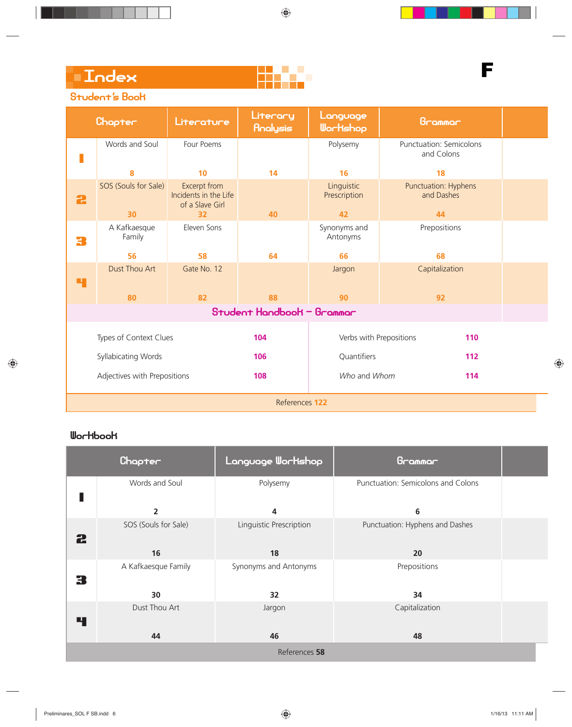

# F

### Student's Book

|                               | Chapter                | Literature                                               | Literary<br>Analysis | Language<br>Wortshop       | Grammar                               |  |
|-------------------------------|------------------------|----------------------------------------------------------|----------------------|----------------------------|---------------------------------------|--|
|                               | Words and Soul         | Four Poems                                               |                      | Polysemy                   | Punctuation: Semicolons<br>and Colons |  |
|                               | 8                      | 10                                                       | 14                   | 16                         | 18                                    |  |
| 2                             | SOS (Souls for Sale)   | Excerpt from<br>Incidents in the Life<br>of a Slave Girl |                      | Linguistic<br>Prescription | Punctuation: Hyphens<br>and Dashes    |  |
|                               | 30                     | 32                                                       | 40                   | 42                         | 44                                    |  |
| 3                             | A Kafkaesque<br>Family | Eleven Sons                                              |                      | Synonyms and<br>Antonyms   | Prepositions                          |  |
|                               | 56                     | 58                                                       | 64                   | 66                         | 68                                    |  |
| Ч                             | <b>Dust Thou Art</b>   | Gate No. 12                                              |                      | Jargon                     | Capitalization                        |  |
|                               | 80                     | 82                                                       | 88                   | 90                         | 92                                    |  |
| Student Handbook - Grammar    |                        |                                                          |                      |                            |                                       |  |
| Types of Context Clues<br>104 |                        | Verbs with Prepositions<br>110                           |                      |                            |                                       |  |
| Syllabicating Words           |                        | 106                                                      | Quantifiers<br>112   |                            |                                       |  |
| Adjectives with Prepositions  |                        | 108                                                      | Who and Whom<br>114  |                            |                                       |  |
|                               | References 122         |                                                          |                      |                            |                                       |  |

|               | Chapter              | Language Workshop       | Grammar                            |  |  |
|---------------|----------------------|-------------------------|------------------------------------|--|--|
|               | Words and Soul       | Polysemy                | Punctuation: Semicolons and Colons |  |  |
|               | $\overline{2}$       | 4                       | 6                                  |  |  |
| 2             | SOS (Souls for Sale) | Linguistic Prescription | Punctuation: Hyphens and Dashes    |  |  |
|               | 16                   | 18                      | 20                                 |  |  |
| 3             | A Kafkaesque Family  | Synonyms and Antonyms   | Prepositions                       |  |  |
|               | 30                   | 32                      | 34                                 |  |  |
| 4             | Dust Thou Art        | Jargon                  | Capitalization                     |  |  |
|               | 44                   | 46                      | 48                                 |  |  |
| References 58 |                      |                         |                                    |  |  |